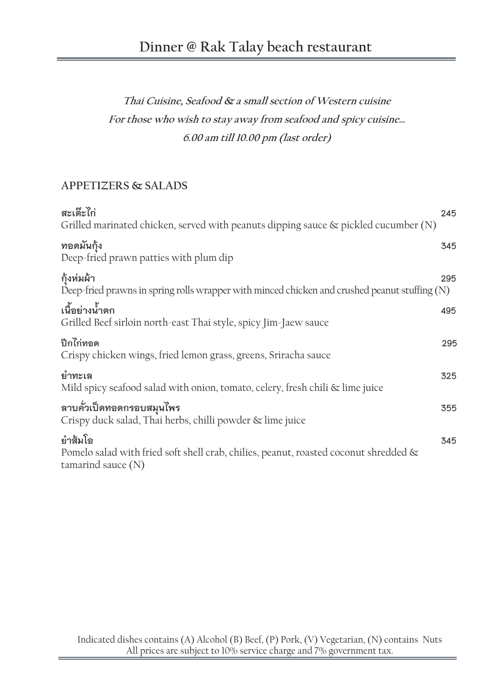# **Dinner @ Rak Talay beach restaurant**

# **Thai Cuisine, Seafood & a small section of Western cuisine For those who wish to stay away from seafood and spicy cuisine… 6.00 am till 10.00 pm (last order)**

# **APPETIZERS & SALADS**

| สะเต๊ะไก่<br>Grilled marinated chicken, served with peanuts dipping sauce $\&$ pickled cucumber (N)                        | 245 |
|----------------------------------------------------------------------------------------------------------------------------|-----|
| ทอดมันกุ้ง<br>Deep-fried prawn patties with plum dip                                                                       | 345 |
| กุ้งห่มผ้า<br>Deep-fried prawns in spring rolls wrapper with minced chicken and crushed peanut stuffing $(N)$              | 295 |
| เนื้อย่างน้ำตก<br>Grilled Beef sirloin north-east Thai style, spicy Jim-Jaew sauce                                         | 495 |
| ปีกไก่ทอด<br>Crispy chicken wings, fried lemon grass, greens, Sriracha sauce                                               | 295 |
| ยำทะเล<br>Mild spicy seafood salad with onion, tomato, celery, fresh chili & lime juice                                    | 325 |
| ลาบคั่วเป็ดทอดกรอบสมุนไพร<br>Crispy duck salad, Thai herbs, chilli powder & lime juice                                     | 355 |
| ยำส้มโอ<br>Pomelo salad with fried soft shell crab, chilies, peanut, roasted coconut shredded $\&$<br>tamarind sauce $(N)$ | 345 |
|                                                                                                                            |     |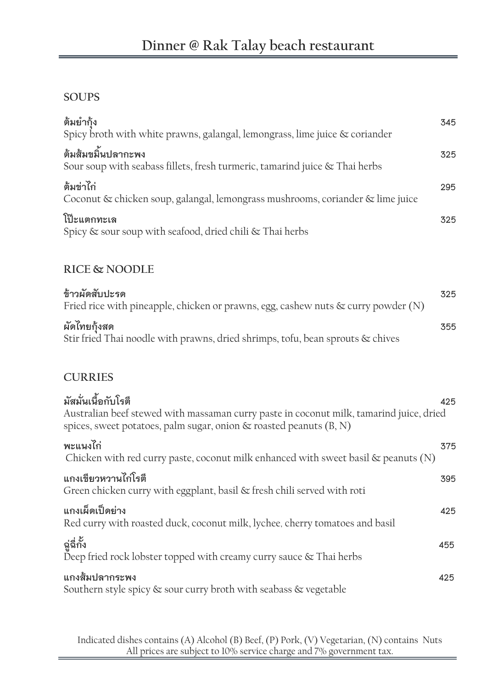# **SOUPS**

| ต้มยำกัง<br>Spicy broth with white prawns, galangal, lemongrass, lime juice & coriander                | 345 |
|--------------------------------------------------------------------------------------------------------|-----|
| ต้มส้มขมิ้นปลากะพง<br>Sour soup with seabass fillets, fresh turmeric, tamarind juice $\&$ Thai herbs   | 325 |
| ต้มข่าไก่<br>Coconut & chicken soup, galangal, lemongrass mushrooms, coriander & lime juice            | 295 |
| โป๊ะแตกทะเล<br>Spicy & sour soup with seafood, dried chili & Thai herbs                                | 325 |
| <b>RICE &amp; NOODLE</b>                                                                               |     |
| ข้าวผัดสับปะรด<br>Fried rice with pineapple, chicken or prawns, egg, cashew nuts $\&$ curry powder (N) | 325 |
| ผัดไทยกุ้งสด<br>Stir fried Thai noodle with prawns, dried shrimps, tofu, bean sprouts & chives         | 355 |

# **CURRIES**

| มัสมั่นเนื้อกับโรตี<br>425<br>Australian beef stewed with massaman curry paste in coconut milk, tamarind juice, dried<br>spices, sweet potatoes, palm sugar, onion $\&$ roasted peanuts (B, N) |
|------------------------------------------------------------------------------------------------------------------------------------------------------------------------------------------------|
| พะแนงไก่<br>375<br>Chicken with red curry paste, coconut milk enhanced with sweet basil $\&$ peanuts (N)                                                                                       |
| แกงเขียวหวานไก่โรตี<br>395<br>Green chicken curry with eggplant, basil & fresh chili served with roti                                                                                          |
| แกงเผ็ดเป็ดย่าง<br>425<br>Red curry with roasted duck, coconut milk, lychee, cherry tomatoes and basil                                                                                         |
| ฉู่ฉี่กั้ง<br>455<br>Deep fried rock lobster topped with creamy curry sauce $\&$ Thai herbs                                                                                                    |
| แกงส้มปลากระพง<br>425<br>Southern style spicy & sour curry broth with seabass & vegetable                                                                                                      |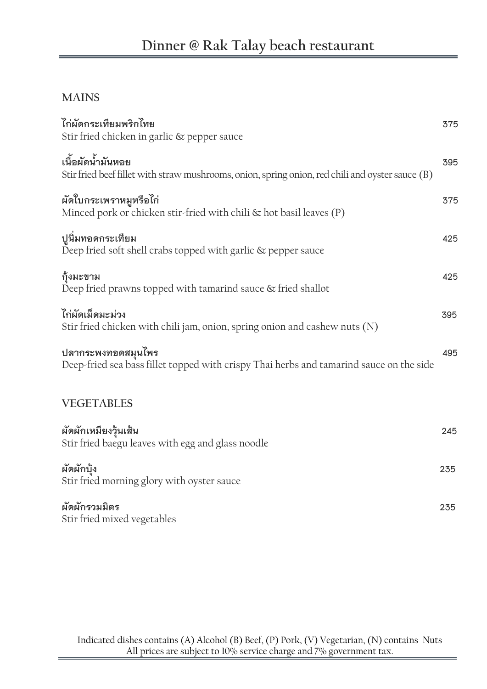# **MAINS**

| ไก่ผัดกระเทียมพริกไทย                                                                            | 375 |
|--------------------------------------------------------------------------------------------------|-----|
| Stir fried chicken in garlic & pepper sauce                                                      |     |
| เนื้อผัดน้ำมันหอย                                                                                | 395 |
| Stir fried beef fillet with straw mushrooms, onion, spring onion, red chili and oyster sauce (B) |     |
| ผัดใบกระเพราหมูหรือไก่                                                                           | 375 |
| Minced pork or chicken stir-fried with chili & hot basil leaves (P)                              |     |
| ปูนิ่มทอดกระเทียม                                                                                | 425 |
| Deep fried soft shell crabs topped with garlic & pepper sauce                                    |     |
| กุ้งมะขาม                                                                                        | 425 |
| Deep fried prawns topped with tamarind sauce & fried shallot                                     |     |
| ไก่ผัดเม็ดมะม่วง                                                                                 | 395 |
| Stir fried chicken with chili jam, onion, spring onion and cashew nuts (N)                       |     |
| ปลากระพงทอดสมุนไพร                                                                               | 495 |
| Deep-fried sea bass fillet topped with crispy Thai herbs and tamarind sauce on the side          |     |
| <b>VEGETABLES</b>                                                                                |     |
|                                                                                                  | 245 |
| ผัดผักเหมียงวุ้นเส้น<br>Stir fried baegu leaves with egg and glass noodle                        |     |
| ผัดผักบุ้ง                                                                                       | 235 |
| Stir fried morning glory with oyster sauce                                                       |     |
| ผัดผักรวมมิตร                                                                                    | 235 |
| Stir fried mixed vegetables                                                                      |     |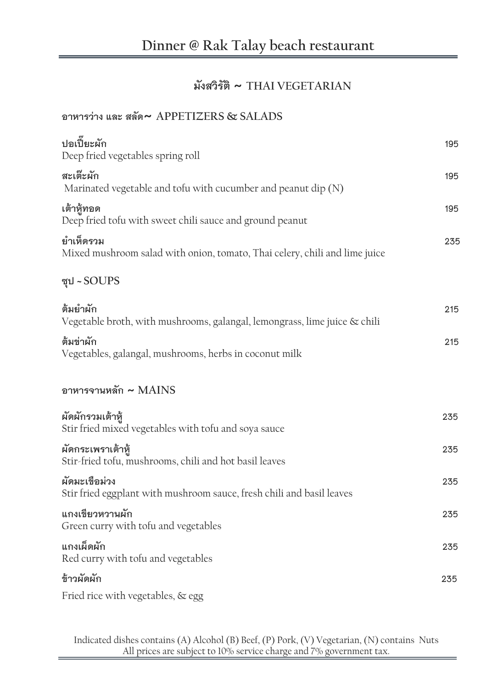# **มังสวิรัติ ~ THAI VEGETARIAN**

# **อาหารว่าง และ สลัด~ APPETIZERS & SALADS**

| ปอเปี้ยะผัก<br>Deep fried vegetables spring roll                                        | 195 |
|-----------------------------------------------------------------------------------------|-----|
| สะเต๊ะผัก<br>Marinated vegetable and tofu with cucumber and peanut dip (N)              | 195 |
| เต้าหู้ทอด<br>Deep fried tofu with sweet chili sauce and ground peanut                  | 195 |
| ยำเห็ดรวม<br>Mixed mushroom salad with onion, tomato, Thai celery, chili and lime juice | 235 |
| ซุป ~ SOUPS                                                                             |     |
| ต้มยำผัก<br>Vegetable broth, with mushrooms, galangal, lemongrass, lime juice & chili   | 215 |
| ต้มข่าผัก<br>Vegetables, galangal, mushrooms, herbs in coconut milk                     | 215 |
| อาหารจานหลัก $\sim$ MAINS                                                               |     |
| ผัดผักรวมเต้าหู้<br>Stir fried mixed vegetables with tofu and soya sauce                | 235 |
| ผัดกระเพราเต้าหู้<br>Stir-fried tofu, mushrooms, chili and hot basil leaves             | 235 |
| ผัดมะเขือม่วง<br>Stir fried eggplant with mushroom sauce, fresh chili and basil leaves  | 235 |
| แกงเขียวหวานผัก<br>Green curry with tofu and vegetables                                 | 235 |
| แกงเผ็ดผัก<br>Red curry with tofu and vegetables                                        | 235 |
| ข้าวผัดผัก                                                                              | 235 |
| Fried rice with vegetables, & egg                                                       |     |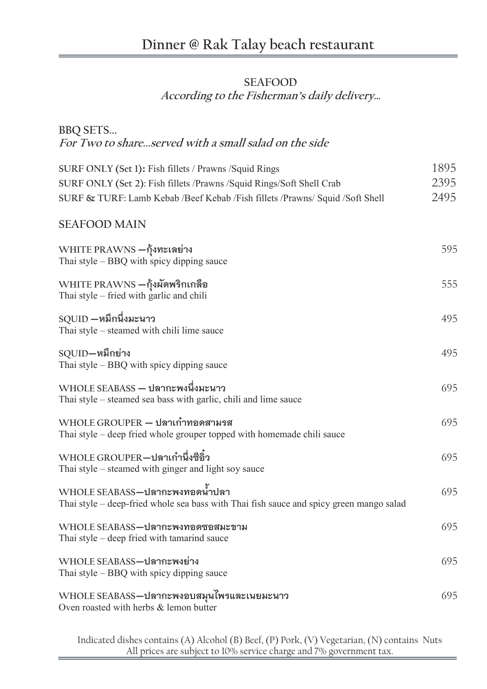#### **SEAFOOD**

**According to the Fisherman's daily delivery…**

**BBQ SETS...**

**For Two to share...served with a small salad on the side** 

**SURF ONLY (Set 1): Fish fillets / Prawns / Squid Rings 1895 SURF ONLY (Set 2):** Fish fillets /Prawns /Squid Rings/Soft Shell Crab 2395 **SURF & TURF:** Lamb Kebab /Beef Kebab /Fish fillets /Prawns/ Squid /Soft Shell 2495

#### **SEAFOOD MAIN**

| WHITE PRAWNS –กุ้งทะเลย่าง<br>Thai style - BBQ with spicy dipping sauce                                                   | 595 |
|---------------------------------------------------------------------------------------------------------------------------|-----|
| $\operatorname{WHITE} \operatorname{PRAWNS} -$ กุ้งผัดพริกเกลือ<br>Thai style - fried with garlic and chili               | 555 |
| $\rm \,SQUID-$ หมึกนึ่งมะนาว<br>Thai style – steamed with chili lime sauce                                                | 495 |
| $SQUID - w$ มึกย่าง<br>Thai style – BBQ with spicy dipping sauce                                                          | 495 |
| WHOLE SEABASS – ปลากะพงนึ่งมะนาว<br>Thai style – steamed sea bass with garlic, chili and lime sauce                       | 695 |
| $WHOLE$ $GROUPER - 1$ สาเก๋าทอดสามรส<br>Thai style - deep fried whole grouper topped with homemade chili sauce            | 695 |
| WHOLE GROUPER–ปลาเก๋านึ่งซีอิ๋ว<br>Thai style – steamed with ginger and light soy sauce                                   | 695 |
| WHOLE SEABASS–ปลากะพงทอดน้ำปลา<br>Thai style - deep-fried whole sea bass with Thai fish sauce and spicy green mango salad | 695 |
| WHOLE SEABASS-ปลากะพงทอดซอสมะขาม<br>Thai style - deep fried with tamarind sauce                                           | 695 |
| WHOLE SEABASS-ปลากะพงย่าง<br>Thai style $-$ BBQ with spicy dipping sauce                                                  | 695 |
| $\mathop{\rm WHOL}\nolimits$ E SEABASS—ปลากะพงอบสมุนไพรและเนยมะนาว<br>Oven roasted with herbs & lemon butter              | 695 |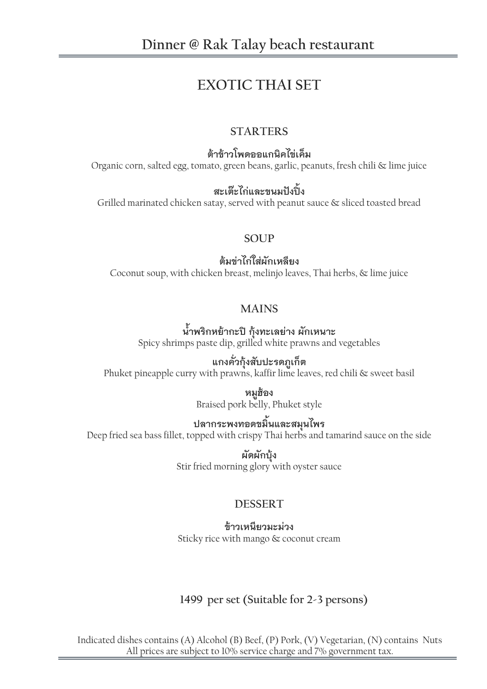# **EXOTIC THAI SET**

## **STARTERS**

**ต้าข้าวโพดออแกนิคไข่เค็ม**

Organic corn, salted egg, tomato, green beans, garlic, peanuts, fresh chili & lime juice

## **สะเต๊ะไก่และขนมปังปิ้ง**

Grilled marinated chicken satay, served with peanut sauce & sliced toasted bread

#### **SOUP**

**ต้มข่าไก่ใส่ผักเหลียง** Coconut soup, with chicken breast, melinjo leaves, Thai herbs, & lime juice

## **MAINS**

**น้้าพริกหย้ากะปิ กุ้งทะเลย่าง ผักเหนาะ** Spicy shrimps paste dip, grilled white prawns and vegetables

## **แกงคั่วกุ้งสับปะรดภูเก็ต**

Phuket pineapple curry with prawns, kaffir lime leaves, red chili & sweet basil

**หมูฮ้อง** Braised pork belly, Phuket style

# **ปลากระพงทอดขมิ้นและสมุนไพร**

Deep fried sea bass fillet, topped with crispy Thai herbs and tamarind sauce on the side

**ผัดผักบุ้ง** Stir fried morning glory with oyster sauce

# **DESSERT**

#### **ข้าวเหนียวมะม่วง**

Sticky rice with mango & coconut cream

# **1499 per set (Suitable for 2-3 persons)**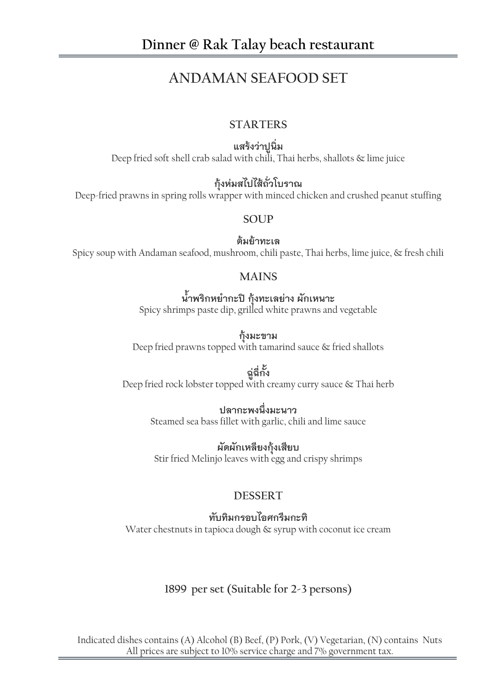# **ANDAMAN SEAFOOD SET**

#### **STARTERS**

**แสร้งว่าปูนิ่ม** Deep fried soft shell crab salad with chili, Thai herbs, shallots & lime juice

# **กุ้งห่มสไปไส้ถั่วโบราณ**

Deep-fried prawns in spring rolls wrapper with minced chicken and crushed peanut stuffing

#### **SOUP**

**ต้มย้าทะเล** Spicy soup with Andaman seafood, mushroom, chili paste, Thai herbs, lime juice, & fresh chili

#### **MAINS**

# **น้้าพริกหย้ากะปิ กุ้งทะเลย่าง ผักเหนาะ**

Spicy shrimps paste dip, grilled white prawns and vegetable

**กุ้งมะขาม** Deep fried prawns topped with tamarind sauce & fried shallots

#### **ฉู่ฉี่กั้ง** Deep fried rock lobster topped with creamy curry sauce & Thai herb

## **ปลากะพงนึ่งมะนาว**

Steamed sea bass fillet with garlic, chili and lime sauce

**ผัดผักเหลียงกุ้งเสียบ** Stir fried Melinjo leaves with egg and crispy shrimps

# **DESSERT**

#### **ทับทิมกรอบไอศกรีมกะทิ**

Water chestnuts in tapioca dough & syrup with coconut ice cream

## **1899 per set (Suitable for 2-3 persons)**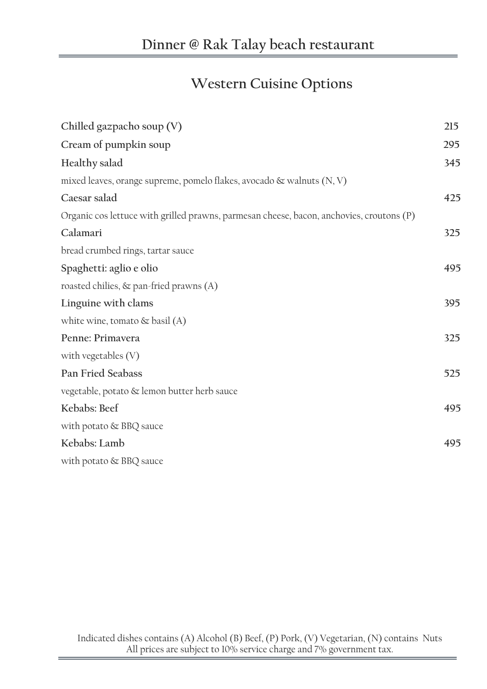# **Western Cuisine Options**

| Chilled gazpacho soup (V)                                                                | 215 |
|------------------------------------------------------------------------------------------|-----|
| Cream of pumpkin soup                                                                    | 295 |
| Healthy salad                                                                            | 345 |
| mixed leaves, orange supreme, pomelo flakes, avocado $\&$ walnuts $(N, V)$               |     |
| Caesar salad                                                                             | 425 |
| Organic cos lettuce with grilled prawns, parmesan cheese, bacon, anchovies, croutons (P) |     |
| Calamari                                                                                 | 325 |
| bread crumbed rings, tartar sauce                                                        |     |
| Spaghetti: aglio e olio                                                                  | 495 |
| roasted chilies, $\&$ pan-fried prawns (A)                                               |     |
| Linguine with clams                                                                      | 395 |
| white wine, tomato $\&$ basil (A)                                                        |     |
| Penne: Primavera                                                                         | 325 |
| with vegetables $(V)$                                                                    |     |
| <b>Pan Fried Seabass</b>                                                                 | 525 |
| vegetable, potato & lemon butter herb sauce                                              |     |
| Kebabs: Beef                                                                             | 495 |
| with potato & BBQ sauce                                                                  |     |
| Kebabs: Lamb                                                                             | 495 |
| with potato & BBQ sauce                                                                  |     |